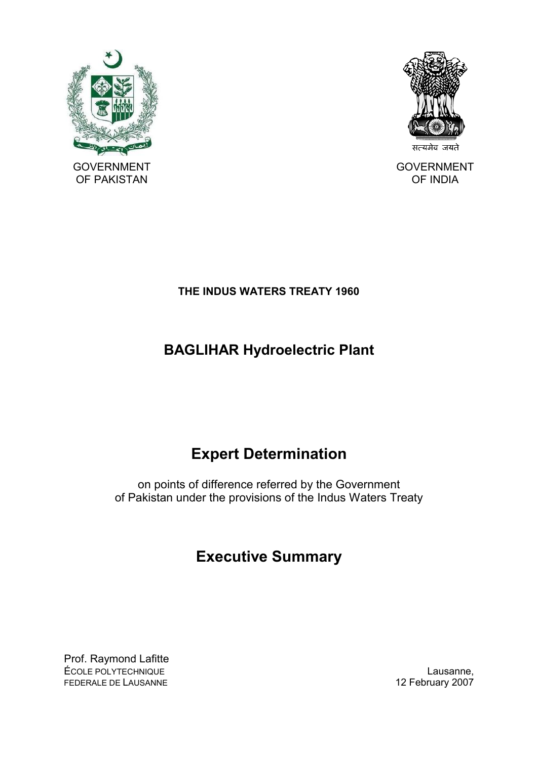

OF PAKISTAN

सत्यमेव जयते

GOVERNMENT OF INDIA

# **THE INDUS WATERS TREATY 1960**

# **BAGLIHAR Hydroelectric Plant**

# **Expert Determination**

on points of difference referred by the Government of Pakistan under the provisions of the Indus Waters Treaty

# **Executive Summary**

Prof. Raymond Lafitte ÉCOLE POLYTECHNIQUE **LAUSANNE EN COLE DE LAUSANNE,** FEDERALE DE LAUSANNE 12 February 2007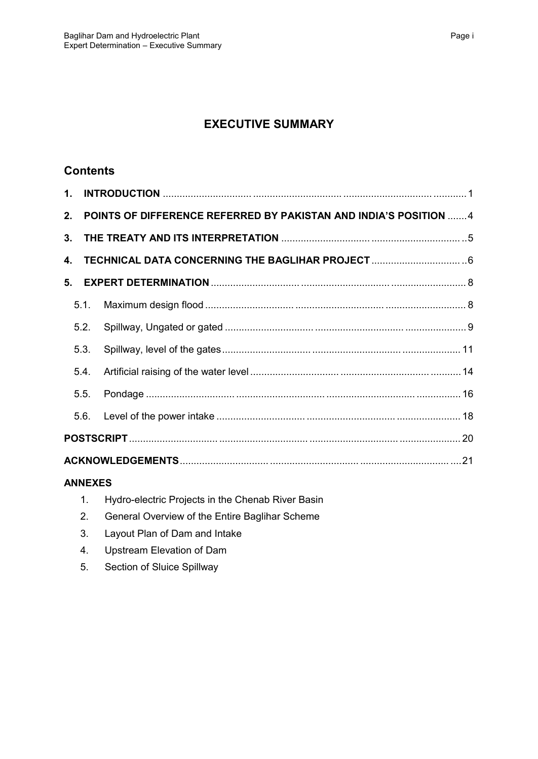# **EXECUTIVE SUMMARY**

## **Contents**

| 2.             |      | POINTS OF DIFFERENCE REFERRED BY PAKISTAN AND INDIA'S POSITION 4 |  |  |  |
|----------------|------|------------------------------------------------------------------|--|--|--|
| 3 <sub>1</sub> |      |                                                                  |  |  |  |
| 4.             |      | TECHNICAL DATA CONCERNING THE BAGLIHAR PROJECT   6               |  |  |  |
| 5.             |      |                                                                  |  |  |  |
|                |      |                                                                  |  |  |  |
|                | 5.2. |                                                                  |  |  |  |
|                | 5.3. |                                                                  |  |  |  |
|                | 5.4. |                                                                  |  |  |  |
|                |      |                                                                  |  |  |  |
|                |      |                                                                  |  |  |  |
|                |      |                                                                  |  |  |  |
|                |      |                                                                  |  |  |  |

## **ANNEXES**

|  | Hydro-electric Projects in the Chenab River Basin |  |  |  |  |  |
|--|---------------------------------------------------|--|--|--|--|--|
|--|---------------------------------------------------|--|--|--|--|--|

- 2. General Overview of the Entire Baglihar Scheme
- 3. Layout Plan of Dam and Intake
- 4. Upstream Elevation of Dam
- 5. Section of Sluice Spillway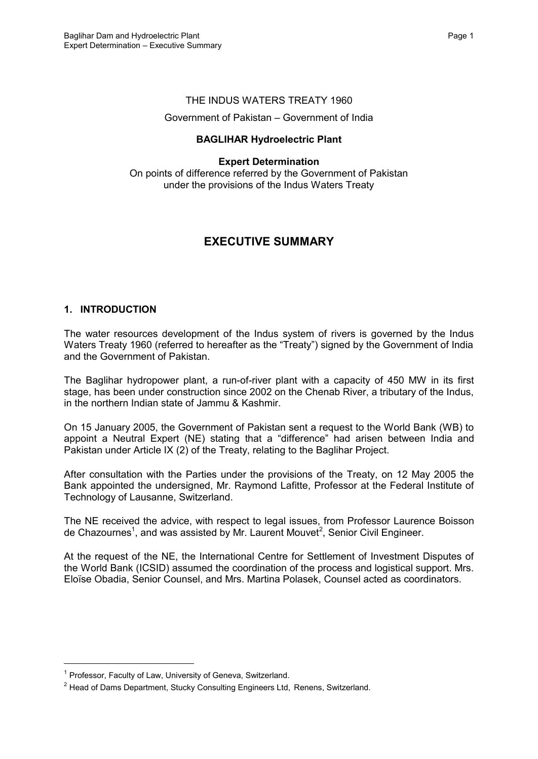#### THE INDUS WATERS TREATY 1960

#### Government of Pakistan – Government of India

#### **BAGLIHAR Hydroelectric Plant**

#### **Expert Determination**

On points of difference referred by the Government of Pakistan under the provisions of the Indus Waters Treaty

## **EXECUTIVE SUMMARY**

#### **1. INTRODUCTION**

The water resources development of the Indus system of rivers is governed by the Indus Waters Treaty 1960 (referred to hereafter as the "Treaty") signed by the Government of India and the Government of Pakistan.

The Baglihar hydropower plant, a run-of-river plant with a capacity of 450 MW in its first stage, has been under construction since 2002 on the Chenab River, a tributary of the Indus, in the northern Indian state of Jammu & Kashmir.

On 15 January 2005, the Government of Pakistan sent a request to the World Bank (WB) to appoint a Neutral Expert (NE) stating that a "difference" had arisen between India and Pakistan under Article IX (2) of the Treaty, relating to the Baglihar Project.

After consultation with the Parties under the provisions of the Treaty, on 12 May 2005 the Bank appointed the undersigned, Mr. Raymond Lafitte, Professor at the Federal Institute of Technology of Lausanne, Switzerland.

The NE received the advice, with respect to legal issues, from Professor Laurence Boisson de Chazournes<sup>1</sup>, and was assisted by Mr. Laurent Mouvet<sup>2</sup>, Senior Civil Engineer.

At the request of the NE, the International Centre for Settlement of Investment Disputes of the World Bank (ICSID) assumed the coordination of the process and logistical support. Mrs. Eloïse Obadia, Senior Counsel, and Mrs. Martina Polasek, Counsel acted as coordinators.

<sup>&</sup>lt;sup>1</sup> Professor, Faculty of Law, University of Geneva, Switzerland.

 $^2$  Head of Dams Department, Stucky Consulting Engineers Ltd, Renens, Switzerland.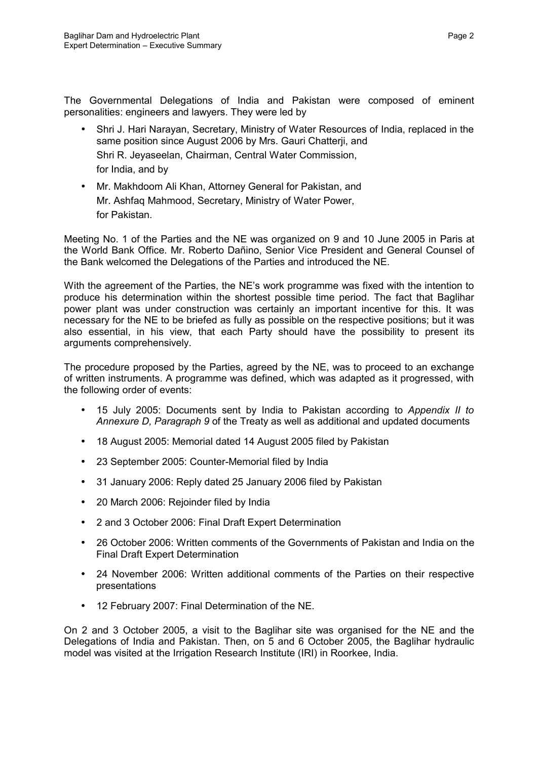The Governmental Delegations of India and Pakistan were composed of eminent personalities: engineers and lawyers. They were led by

- Shri J. Hari Narayan, Secretary, Ministry of Water Resources of India, replaced in the same position since August 2006 by Mrs. Gauri Chatterji, and Shri R. Jeyaseelan, Chairman, Central Water Commission, for India, and by
- Mr. Makhdoom Ali Khan, Attorney General for Pakistan, and Mr. Ashfaq Mahmood, Secretary, Ministry of Water Power, for Pakistan.

Meeting No. 1 of the Parties and the NE was organized on 9 and 10 June 2005 in Paris at the World Bank Office. Mr. Roberto Dañino, Senior Vice President and General Counsel of the Bank welcomed the Delegations of the Parties and introduced the NE.

With the agreement of the Parties, the NE's work programme was fixed with the intention to produce his determination within the shortest possible time period. The fact that Baglihar power plant was under construction was certainly an important incentive for this. It was necessary for the NE to be briefed as fully as possible on the respective positions; but it was also essential, in his view, that each Party should have the possibility to present its arguments comprehensively.

The procedure proposed by the Parties, agreed by the NE, was to proceed to an exchange of written instruments. A programme was defined, which was adapted as it progressed, with the following order of events:

- 15 July 2005: Documents sent by India to Pakistan according to *Appendix II to Annexure D, Paragraph 9* of the Treaty as well as additional and updated documents
- 18 August 2005: Memorial dated 14 August 2005 filed by Pakistan
- 23 September 2005: Counter-Memorial filed by India
- 31 January 2006: Reply dated 25 January 2006 filed by Pakistan
- 20 March 2006: Rejoinder filed by India
- 2 and 3 October 2006: Final Draft Expert Determination
- 26 October 2006: Written comments of the Governments of Pakistan and India on the Final Draft Expert Determination
- 24 November 2006: Written additional comments of the Parties on their respective presentations
- 12 February 2007: Final Determination of the NE.

On 2 and 3 October 2005, a visit to the Baglihar site was organised for the NE and the Delegations of India and Pakistan. Then, on 5 and 6 October 2005, the Baglihar hydraulic model was visited at the Irrigation Research Institute (IRI) in Roorkee, India.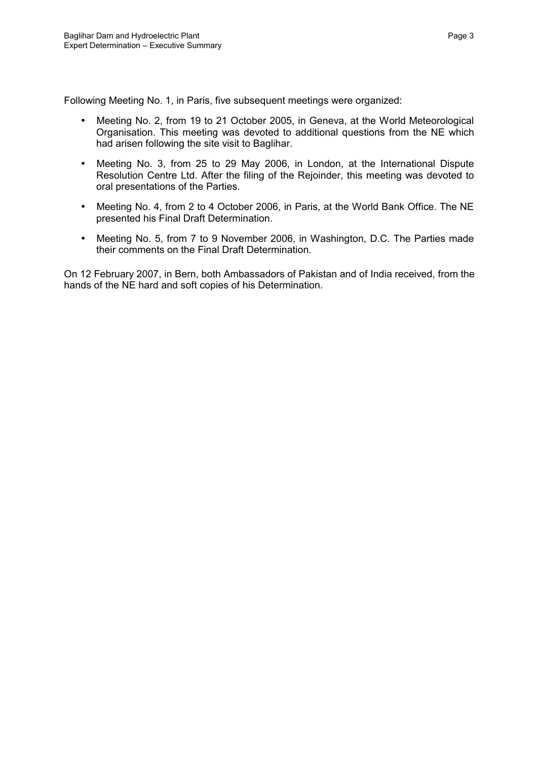Following Meeting No. 1, in Paris, five subsequent meetings were organized:

- Meeting No. 2, from 19 to 21 October 2005, in Geneva, at the World Meteorological Organisation. This meeting was devoted to additional questions from the NE which had arisen following the site visit to Baglihar.
- Meeting No. 3, from 25 to 29 May 2006, in London, at the International Dispute Resolution Centre Ltd. After the filing of the Rejoinder, this meeting was devoted to oral presentations of the Parties.
- Meeting No. 4, from 2 to 4 October 2006, in Paris, at the World Bank Office. The NE presented his Final Draft Determination.
- Meeting No. 5, from 7 to 9 November 2006, in Washington, D.C. The Parties made their comments on the Final Draft Determination.

On 12 February 2007, in Bern, both Ambassadors of Pakistan and of India received, from the hands of the NE hard and soft copies of his Determination.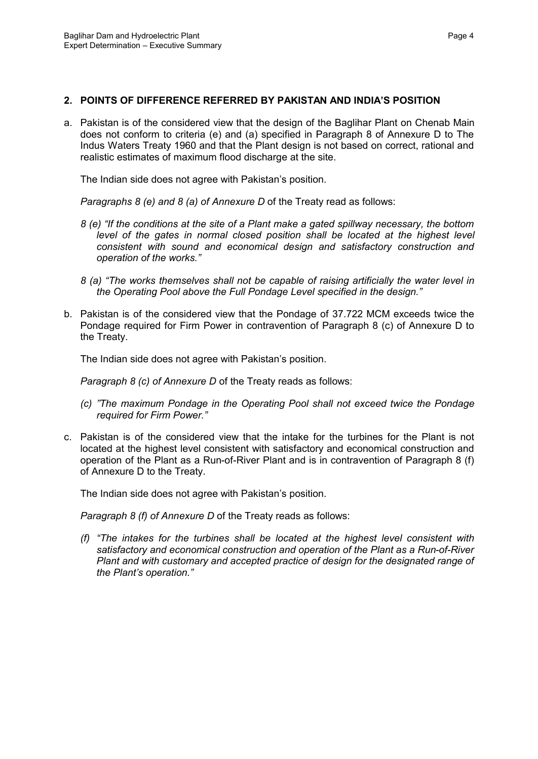#### **2. POINTS OF DIFFERENCE REFERRED BY PAKISTAN AND INDIA'S POSITION**

a. Pakistan is of the considered view that the design of the Baglihar Plant on Chenab Main does not conform to criteria (e) and (a) specified in Paragraph 8 of Annexure D to The Indus Waters Treaty 1960 and that the Plant design is not based on correct, rational and realistic estimates of maximum flood discharge at the site.

The Indian side does not agree with Pakistan's position.

*Paragraphs 8 (e) and 8 (a) of Annexure D* of the Treaty read as follows:

- *8 (e) "If the conditions at the site of a Plant make a gated spillway necessary, the bottom level of the gates in normal closed position shall be located at the highest level consistent with sound and economical design and satisfactory construction and operation of the works."*
- *8 (a) "The works themselves shall not be capable of raising artificially the water level in the Operating Pool above the Full Pondage Level specified in the design."*
- b. Pakistan is of the considered view that the Pondage of 37.722 MCM exceeds twice the Pondage required for Firm Power in contravention of Paragraph 8 (c) of Annexure D to the Treaty.

The Indian side does not agree with Pakistan's position.

*Paragraph 8 (c) of Annexure D of the Treaty reads as follows:* 

- *(c) "The maximum Pondage in the Operating Pool shall not exceed twice the Pondage required for Firm Power."*
- c. Pakistan is of the considered view that the intake for the turbines for the Plant is not located at the highest level consistent with satisfactory and economical construction and operation of the Plant as a Run-of-River Plant and is in contravention of Paragraph 8 (f) of Annexure D to the Treaty.

The Indian side does not agree with Pakistan's position.

*Paragraph 8 (f) of Annexure D* of the Treaty reads as follows:

*(f) "The intakes for the turbines shall be located at the highest level consistent with satisfactory and economical construction and operation of the Plant as a Run-of-River Plant and with customary and accepted practice of design for the designated range of the Plant's operation."*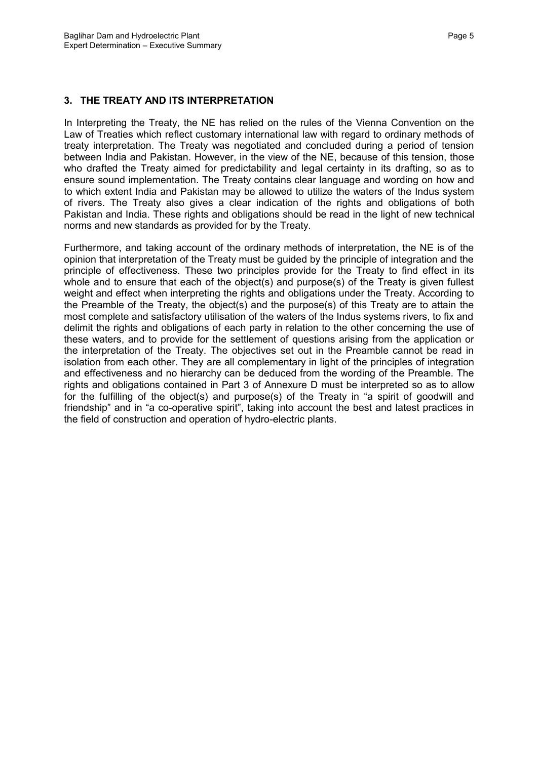### **3. THE TREATY AND ITS INTERPRETATION**

In Interpreting the Treaty, the NE has relied on the rules of the Vienna Convention on the Law of Treaties which reflect customary international law with regard to ordinary methods of treaty interpretation. The Treaty was negotiated and concluded during a period of tension between India and Pakistan. However, in the view of the NE, because of this tension, those who drafted the Treaty aimed for predictability and legal certainty in its drafting, so as to ensure sound implementation. The Treaty contains clear language and wording on how and to which extent India and Pakistan may be allowed to utilize the waters of the Indus system of rivers. The Treaty also gives a clear indication of the rights and obligations of both Pakistan and India. These rights and obligations should be read in the light of new technical norms and new standards as provided for by the Treaty.

Furthermore, and taking account of the ordinary methods of interpretation, the NE is of the opinion that interpretation of the Treaty must be guided by the principle of integration and the principle of effectiveness. These two principles provide for the Treaty to find effect in its whole and to ensure that each of the object(s) and purpose(s) of the Treaty is given fullest weight and effect when interpreting the rights and obligations under the Treaty. According to the Preamble of the Treaty, the object(s) and the purpose(s) of this Treaty are to attain the most complete and satisfactory utilisation of the waters of the Indus systems rivers, to fix and delimit the rights and obligations of each party in relation to the other concerning the use of these waters, and to provide for the settlement of questions arising from the application or the interpretation of the Treaty. The objectives set out in the Preamble cannot be read in isolation from each other. They are all complementary in light of the principles of integration and effectiveness and no hierarchy can be deduced from the wording of the Preamble. The rights and obligations contained in Part 3 of Annexure D must be interpreted so as to allow for the fulfilling of the object(s) and purpose(s) of the Treaty in "a spirit of goodwill and friendship" and in "a co-operative spirit", taking into account the best and latest practices in the field of construction and operation of hydro-electric plants.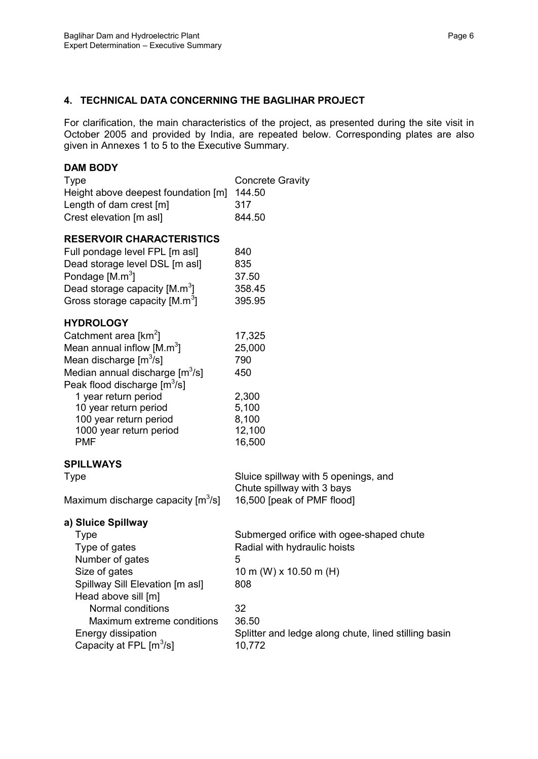## **4. TECHNICAL DATA CONCERNING THE BAGLIHAR PROJECT**

For clarification, the main characteristics of the project, as presented during the site visit in October 2005 and provided by India, are repeated below. Corresponding plates are also given in Annexes 1 to 5 to the Executive Summary.

#### **DAM BODY**

| Type<br>Height above deepest foundation [m]<br>Length of dam crest [m]<br>Crest elevation [m asl]                                                                                                                                                                                                                                          | <b>Concrete Gravity</b><br>144.50<br>317<br>844.50                                                                                                                                              |
|--------------------------------------------------------------------------------------------------------------------------------------------------------------------------------------------------------------------------------------------------------------------------------------------------------------------------------------------|-------------------------------------------------------------------------------------------------------------------------------------------------------------------------------------------------|
| <b>RESERVOIR CHARACTERISTICS</b><br>Full pondage level FPL [m asl]<br>Dead storage level DSL [m asl]<br>Pondage [M.m <sup>3</sup> ]<br>Dead storage capacity $[M.m^3]$<br>Gross storage capacity $[M.m^3]$                                                                                                                                 | 840<br>835<br>37.50<br>358.45<br>395.95                                                                                                                                                         |
| <b>HYDROLOGY</b><br>Catchment area [km <sup>2</sup> ]<br>Mean annual inflow $[M.m^3]$<br>Mean discharge [m <sup>3</sup> /s]<br>Median annual discharge [m <sup>3</sup> /s]<br>Peak flood discharge [m <sup>3</sup> /s]<br>1 year return period<br>10 year return period<br>100 year return period<br>1000 year return period<br><b>PMF</b> | 17,325<br>25,000<br>790<br>450<br>2,300<br>5,100<br>8,100<br>12,100<br>16,500                                                                                                                   |
| SPILLWAYS<br>Type<br>Maximum discharge capacity [m <sup>3</sup> /s]                                                                                                                                                                                                                                                                        | Sluice spillway with 5 openings, and<br>Chute spillway with 3 bays<br>16,500 [peak of PMF flood]                                                                                                |
| a) Sluice Spillway<br><b>Type</b><br>Type of gates<br>Number of gates<br>Size of gates<br>Spillway Sill Elevation [m asl]<br>Head above sill [m]<br>Normal conditions<br>Maximum extreme conditions<br>Energy dissipation<br>Capacity at FPL $[m^3/s]$                                                                                     | Submerged orifice with ogee-shaped chute<br>Radial with hydraulic hoists<br>5<br>10 m (W) x 10.50 m (H)<br>808<br>32<br>36.50<br>Splitter and ledge along chute, lined stilling basin<br>10,772 |
|                                                                                                                                                                                                                                                                                                                                            |                                                                                                                                                                                                 |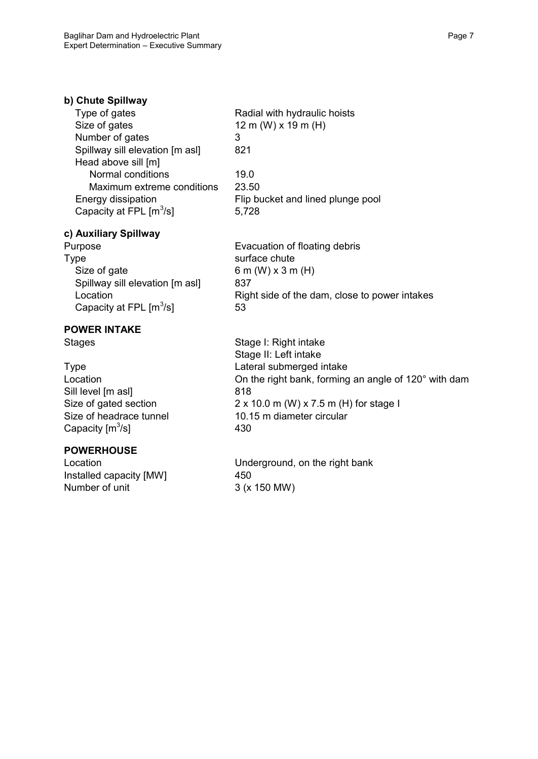| b) Chute Spillway                   |                                   |
|-------------------------------------|-----------------------------------|
| Type of gates                       | Radial with hydraulic hoists      |
| Size of gates                       | 12 m (W) $\times$ 19 m (H)        |
| Number of gates                     | 3                                 |
| Spillway sill elevation [m asl]     | 821                               |
| Head above sill [m]                 |                                   |
| Normal conditions                   | 19.0                              |
| Maximum extreme conditions          | 23.50                             |
| Energy dissipation                  | Flip bucket and lined plunge pool |
| Capacity at FPL [m <sup>3</sup> /s] | 5,728                             |
|                                     |                                   |

#### **c) Auxiliary Spillway**

Type surface chute Size of gate 6 m (W)  $\times$  3 m (H) Spillway sill elevation [m asl] 837 Capacity at FPL  $[m^3/s]$  53

# **POWER INTAKE**

Sill level [m asl] 818 Capacity  $[m^3/s]$ 

## **POWERHOUSE**

Installed capacity [MW] 450 Number of unit 3 (x 150 MW)

Purpose **Evacuation of floating debris** Location **Example 2** Right side of the dam, close to power intakes

Stages Stage I: Right intake Stage II: Left intake Type Lateral submerged intake Location **Constanting Conducts** On the right bank, forming an angle of 120° with dam Size of gated section 2 x 10.0 m (W) x 7.5 m (H) for stage I Size of headrace tunnel 10.15 m diameter circular 430

Location **Location** Underground, on the right bank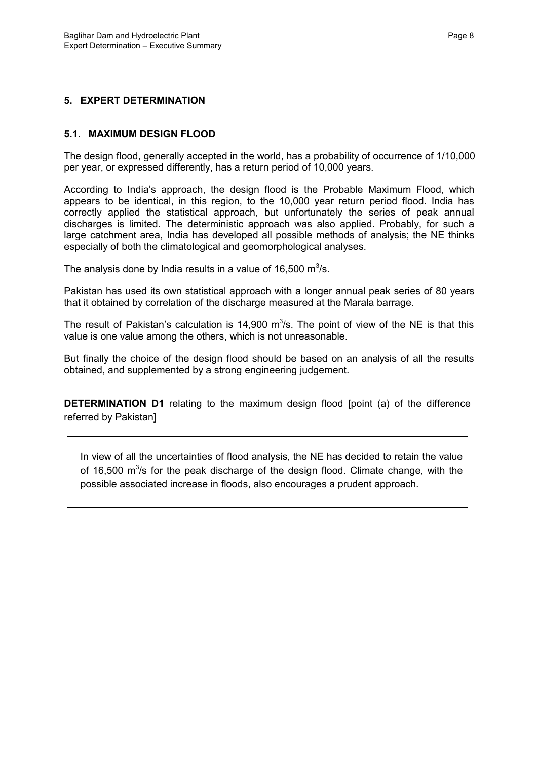### **5. EXPERT DETERMINATION**

#### **5.1. MAXIMUM DESIGN FLOOD**

The design flood, generally accepted in the world, has a probability of occurrence of 1/10,000 per year, or expressed differently, has a return period of 10,000 years.

According to India's approach, the design flood is the Probable Maximum Flood, which appears to be identical, in this region, to the 10,000 year return period flood. India has correctly applied the statistical approach, but unfortunately the series of peak annual discharges is limited. The deterministic approach was also applied. Probably, for such a large catchment area, India has developed all possible methods of analysis; the NE thinks especially of both the climatological and geomorphological analyses.

The analysis done by India results in a value of 16,500  $\text{m}^3\text{/s}$ .

Pakistan has used its own statistical approach with a longer annual peak series of 80 years that it obtained by correlation of the discharge measured at the Marala barrage.

The result of Pakistan's calculation is  $14,900$  m<sup>3</sup>/s. The point of view of the NE is that this value is one value among the others, which is not unreasonable.

But finally the choice of the design flood should be based on an analysis of all the results obtained, and supplemented by a strong engineering judgement.

**DETERMINATION D1** relating to the maximum design flood [point (a) of the difference referred by Pakistan]

In view of all the uncertainties of flood analysis, the NE has decided to retain the value of 16,500  $\mathrm{m}^3$ /s for the peak discharge of the design flood. Climate change, with the possible associated increase in floods, also encourages a prudent approach.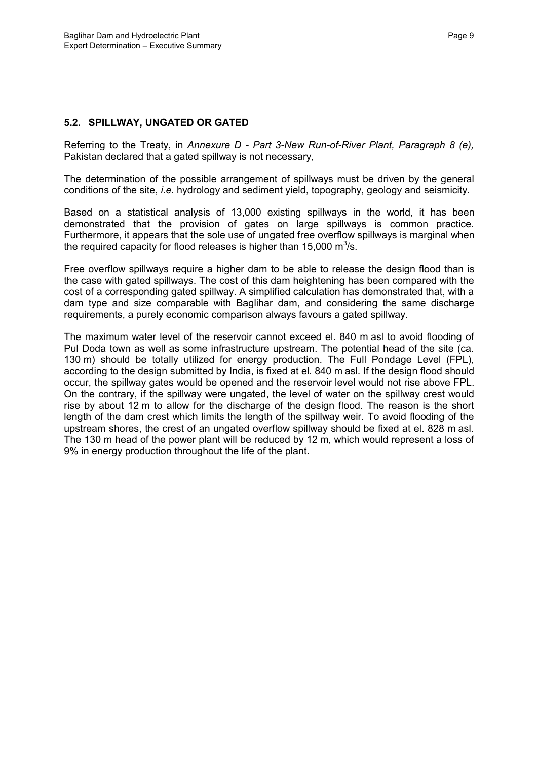#### **5.2. SPILLWAY, UNGATED OR GATED**

Referring to the Treaty, in *Annexure D - Part 3-New Run-of-River Plant, Paragraph 8 (e),* Pakistan declared that a gated spillway is not necessary,

The determination of the possible arrangement of spillways must be driven by the general conditions of the site, *i.e.* hydrology and sediment yield, topography, geology and seismicity.

Based on a statistical analysis of 13,000 existing spillways in the world, it has been demonstrated that the provision of gates on large spillways is common practice. Furthermore, it appears that the sole use of ungated free overflow spillways is marginal when the required capacity for flood releases is higher than 15,000 m<sup>3</sup>/s.

Free overflow spillways require a higher dam to be able to release the design flood than is the case with gated spillways. The cost of this dam heightening has been compared with the cost of a corresponding gated spillway. A simplified calculation has demonstrated that, with a dam type and size comparable with Baglihar dam, and considering the same discharge requirements, a purely economic comparison always favours a gated spillway.

The maximum water level of the reservoir cannot exceed el. 840 m asl to avoid flooding of Pul Doda town as well as some infrastructure upstream. The potential head of the site (ca. 130 m) should be totally utilized for energy production. The Full Pondage Level (FPL), according to the design submitted by India, is fixed at el. 840 m asl. If the design flood should occur, the spillway gates would be opened and the reservoir level would not rise above FPL. On the contrary, if the spillway were ungated, the level of water on the spillway crest would rise by about 12 m to allow for the discharge of the design flood. The reason is the short length of the dam crest which limits the length of the spillway weir. To avoid flooding of the upstream shores, the crest of an ungated overflow spillway should be fixed at el. 828 m asl. The 130 m head of the power plant will be reduced by 12 m, which would represent a loss of 9% in energy production throughout the life of the plant.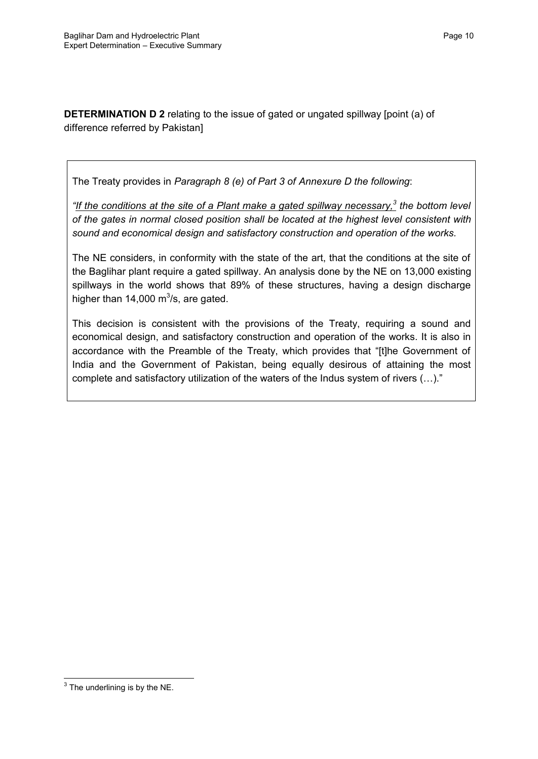**DETERMINATION D 2** relating to the issue of gated or ungated spillway [point (a) of difference referred by Pakistan]

The Treaty provides in *Paragraph 8 (e) of Part 3 of Annexure D the following*:

*"If the conditions at the site of a Plant make a gated spillway necessary,<sup>3</sup> the bottom level of the gates in normal closed position shall be located at the highest level consistent with sound and economical design and satisfactory construction and operation of the works.*

The NE considers, in conformity with the state of the art, that the conditions at the site of the Baglihar plant require a gated spillway. An analysis done by the NE on 13,000 existing spillways in the world shows that 89% of these structures, having a design discharge higher than 14,000  $\text{m}^3$ /s, are gated.

This decision is consistent with the provisions of the Treaty, requiring a sound and economical design, and satisfactory construction and operation of the works. It is also in accordance with the Preamble of the Treaty, which provides that "[t]he Government of India and the Government of Pakistan, being equally desirous of attaining the most complete and satisfactory utilization of the waters of the Indus system of rivers (…)."

**The underlining is by the NE.**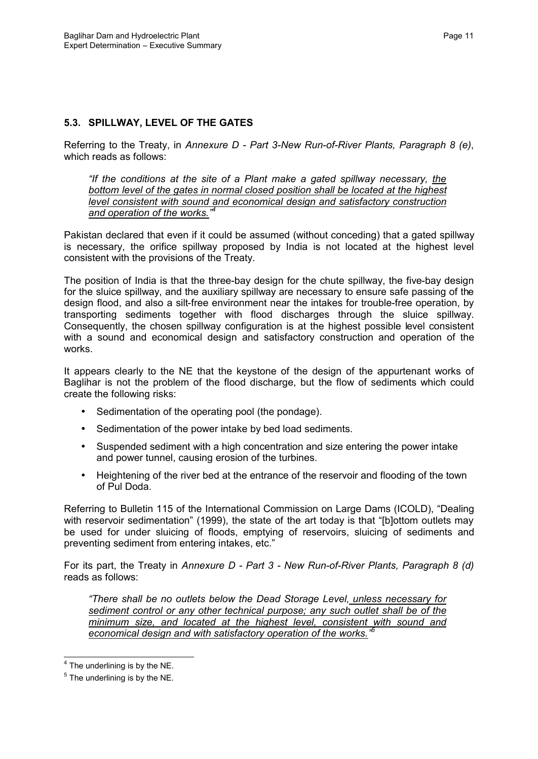## **5.3. SPILLWAY, LEVEL OF THE GATES**

Referring to the Treaty, in *Annexure D - Part 3-New Run-of-River Plants, Paragraph 8 (e)*, which reads as follows:

*"If the conditions at the site of a Plant make a gated spillway necessary, the bottom level of the gates in normal closed position shall be located at the highest level consistent with sound and economical design and satisfactory construction and operation of the works." 4*

Pakistan declared that even if it could be assumed (without conceding) that a gated spillway is necessary, the orifice spillway proposed by India is not located at the highest level consistent with the provisions of the Treaty.

The position of India is that the three-bay design for the chute spillway, the five-bay design for the sluice spillway, and the auxiliary spillway are necessary to ensure safe passing of the design flood, and also a silt-free environment near the intakes for trouble-free operation, by transporting sediments together with flood discharges through the sluice spillway. Consequently, the chosen spillway configuration is at the highest possible level consistent with a sound and economical design and satisfactory construction and operation of the works.

It appears clearly to the NE that the keystone of the design of the appurtenant works of Baglihar is not the problem of the flood discharge, but the flow of sediments which could create the following risks:

- Sedimentation of the operating pool (the pondage).
- Sedimentation of the power intake by bed load sediments.
- Suspended sediment with a high concentration and size entering the power intake and power tunnel, causing erosion of the turbines.
- Heightening of the river bed at the entrance of the reservoir and flooding of the town of Pul Doda.

Referring to Bulletin 115 of the International Commission on Large Dams (ICOLD), "Dealing with reservoir sedimentation" (1999), the state of the art today is that "[b]ottom outlets may be used for under sluicing of floods, emptying of reservoirs, sluicing of sediments and preventing sediment from entering intakes, etc."

For its part, the Treaty in *Annexure D - Part 3 - New Run-of-River Plants, Paragraph 8 (d)* reads as follows:

*"There shall be no outlets below the Dead Storage Level, unless necessary for sediment control or any other technical purpose; any such outlet shall be of the minimum size, and located at the highest level, consistent with sound and economical design and with satisfactory operation of the works." 5*

  $<sup>4</sup>$  The underlining is by the NE.</sup>

 $<sup>5</sup>$  The underlining is by the NE.</sup>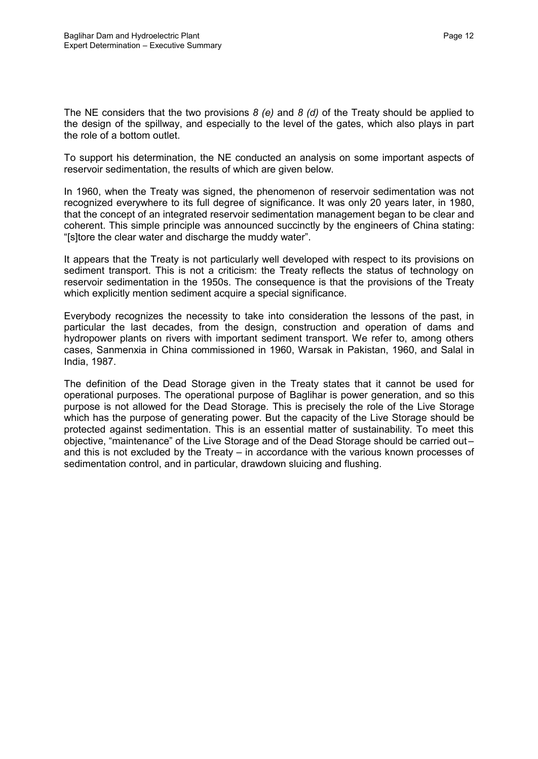The NE considers that the two provisions *8 (e)* and *8 (d)* of the Treaty should be applied to the design of the spillway, and especially to the level of the gates, which also plays in part the role of a bottom outlet.

To support his determination, the NE conducted an analysis on some important aspects of reservoir sedimentation, the results of which are given below.

In 1960, when the Treaty was signed, the phenomenon of reservoir sedimentation was not recognized everywhere to its full degree of significance. It was only 20 years later, in 1980, that the concept of an integrated reservoir sedimentation management began to be clear and coherent. This simple principle was announced succinctly by the engineers of China stating: "[s]tore the clear water and discharge the muddy water".

It appears that the Treaty is not particularly well developed with respect to its provisions on sediment transport. This is not a criticism: the Treaty reflects the status of technology on reservoir sedimentation in the 1950s. The consequence is that the provisions of the Treaty which explicitly mention sediment acquire a special significance.

Everybody recognizes the necessity to take into consideration the lessons of the past, in particular the last decades, from the design, construction and operation of dams and hydropower plants on rivers with important sediment transport. We refer to, among others cases, Sanmenxia in China commissioned in 1960, Warsak in Pakistan, 1960, and Salal in India, 1987.

The definition of the Dead Storage given in the Treaty states that it cannot be used for operational purposes. The operational purpose of Baglihar is power generation, and so this purpose is not allowed for the Dead Storage. This is precisely the role of the Live Storage which has the purpose of generating power. But the capacity of the Live Storage should be protected against sedimentation. This is an essential matter of sustainability. To meet this objective, "maintenance" of the Live Storage and of the Dead Storage should be carried out – and this is not excluded by the Treaty – in accordance with the various known processes of sedimentation control, and in particular, drawdown sluicing and flushing.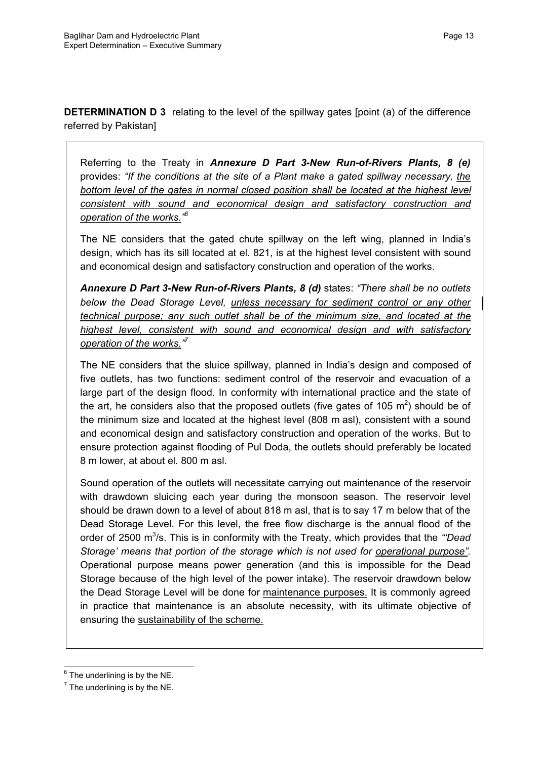**DETERMINATION D 3** relating to the level of the spillway gates [point (a) of the difference referred by Pakistan]

Referring to the Treaty in *Annexure D Part 3-New Run-of-Rivers Plants, 8 (e)*  provides: *"If the conditions at the site of a Plant make a gated spillway necessary, the bottom level of the gates in normal closed position shall be located at the highest level consistent with sound and economical design and satisfactory construction and operation of the works." 6*

The NE considers that the gated chute spillway on the left wing, planned in India's design, which has its sill located at el. 821, is at the highest level consistent with sound and economical design and satisfactory construction and operation of the works.

*Annexure D Part 3-New Run-of-Rivers Plants, 8 (d)* states: *"There shall be no outlets below the Dead Storage Level, unless necessary for sediment control or any other technical purpose; any such outlet shall be of the minimum size, and located at the highest level, consistent with sound and economical design and with satisfactory operation of the works." 7*

The NE considers that the sluice spillway, planned in India's design and composed of five outlets, has two functions: sediment control of the reservoir and evacuation of a large part of the design flood. In conformity with international practice and the state of the art, he considers also that the proposed outlets (five gates of 105  $m^2$ ) should be of the minimum size and located at the highest level (808 m asl), consistent with a sound and economical design and satisfactory construction and operation of the works. But to ensure protection against flooding of Pul Doda, the outlets should preferably be located 8 m lower, at about el. 800 m asl.

Sound operation of the outlets will necessitate carrying out maintenance of the reservoir with drawdown sluicing each year during the monsoon season. The reservoir level should be drawn down to a level of about 818 m asl, that is to say 17 m below that of the Dead Storage Level. For this level, the free flow discharge is the annual flood of the order of 2500 m<sup>3</sup>/s. This is in conformity with the Treaty, which provides that the "Dead *Storage' means that portion of the storage which is not used for operational purpose"*. Operational purpose means power generation (and this is impossible for the Dead Storage because of the high level of the power intake). The reservoir drawdown below the Dead Storage Level will be done for maintenance purposes. It is commonly agreed in practice that maintenance is an absolute necessity, with its ultimate objective of ensuring the sustainability of the scheme.

  $6$  The underlining is by the NE.

 $<sup>7</sup>$  The underlining is by the NE.</sup>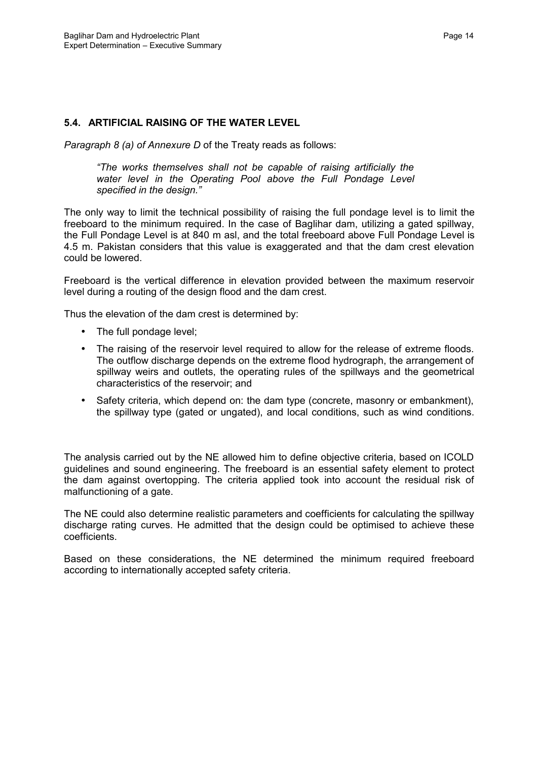#### **5.4. ARTIFICIAL RAISING OF THE WATER LEVEL**

*Paragraph 8 (a) of Annexure D* of the Treaty reads as follows:

*"The works themselves shall not be capable of raising artificially the water level in the Operating Pool above the Full Pondage Level specified in the design."*

The only way to limit the technical possibility of raising the full pondage level is to limit the freeboard to the minimum required. In the case of Baglihar dam, utilizing a gated spillway, the Full Pondage Level is at 840 m asl, and the total freeboard above Full Pondage Level is 4.5 m. Pakistan considers that this value is exaggerated and that the dam crest elevation could be lowered.

Freeboard is the vertical difference in elevation provided between the maximum reservoir level during a routing of the design flood and the dam crest.

Thus the elevation of the dam crest is determined by:

- The full pondage level;
- The raising of the reservoir level required to allow for the release of extreme floods. The outflow discharge depends on the extreme flood hydrograph, the arrangement of spillway weirs and outlets, the operating rules of the spillways and the geometrical characteristics of the reservoir; and
- Safety criteria, which depend on: the dam type (concrete, masonry or embankment), the spillway type (gated or ungated), and local conditions, such as wind conditions.

The analysis carried out by the NE allowed him to define objective criteria, based on ICOLD guidelines and sound engineering. The freeboard is an essential safety element to protect the dam against overtopping. The criteria applied took into account the residual risk of malfunctioning of a gate.

The NE could also determine realistic parameters and coefficients for calculating the spillway discharge rating curves. He admitted that the design could be optimised to achieve these coefficients.

Based on these considerations, the NE determined the minimum required freeboard according to internationally accepted safety criteria.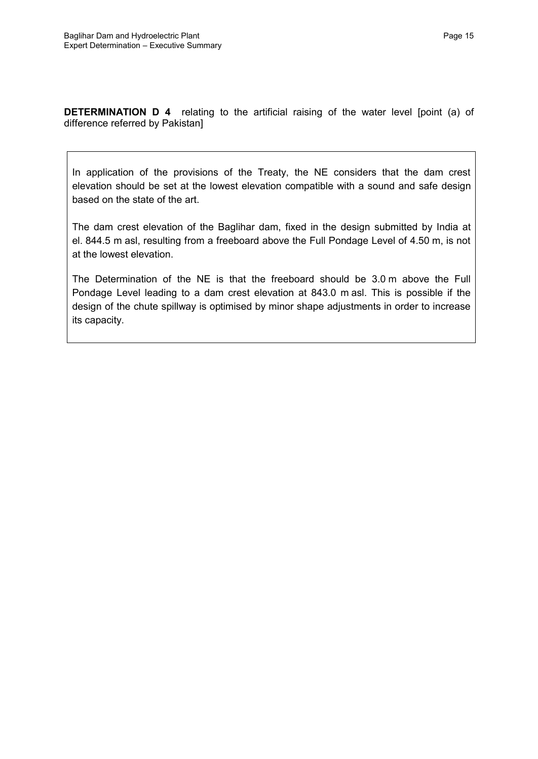**DETERMINATION D 4** relating to the artificial raising of the water level [point (a) of difference referred by Pakistan]

In application of the provisions of the Treaty, the NE considers that the dam crest elevation should be set at the lowest elevation compatible with a sound and safe design based on the state of the art.

The dam crest elevation of the Baglihar dam, fixed in the design submitted by India at el. 844.5 m asl, resulting from a freeboard above the Full Pondage Level of 4.50 m, is not at the lowest elevation.

The Determination of the NE is that the freeboard should be 3.0 m above the Full Pondage Level leading to a dam crest elevation at 843.0 m asl. This is possible if the design of the chute spillway is optimised by minor shape adjustments in order to increase its capacity.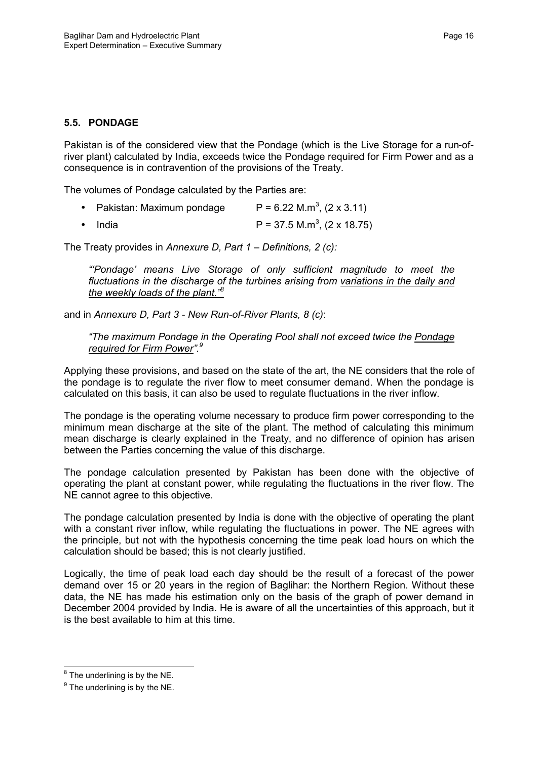### **5.5. PONDAGE**

Pakistan is of the considered view that the Pondage (which is the Live Storage for a run-ofriver plant) calculated by India, exceeds twice the Pondage required for Firm Power and as a consequence is in contravention of the provisions of the Treaty.

The volumes of Pondage calculated by the Parties are:

| • Pakistan: Maximum pondage | $P = 6.22$ M.m <sup>3</sup> , (2 x 3.11)  |
|-----------------------------|-------------------------------------------|
| ● India                     | $P = 37.5$ M.m <sup>3</sup> , (2 x 18.75) |

The Treaty provides in *Annexure D, Part 1 – Definitions, 2 (c):*

*"'Pondage' means Live Storage of only sufficient magnitude to meet the fluctuations in the discharge of the turbines arising from variations in the daily and the weekly loads of the plant."<sup>8</sup>*

and in *Annexure D, Part 3 - New Run-of-River Plants, 8 (c)*:

*"The maximum Pondage in the Operating Pool shall not exceed twice the Pondage required for Firm Power".<sup>9</sup>*

Applying these provisions, and based on the state of the art, the NE considers that the role of the pondage is to regulate the river flow to meet consumer demand. When the pondage is calculated on this basis, it can also be used to regulate fluctuations in the river inflow.

The pondage is the operating volume necessary to produce firm power corresponding to the minimum mean discharge at the site of the plant. The method of calculating this minimum mean discharge is clearly explained in the Treaty, and no difference of opinion has arisen between the Parties concerning the value of this discharge.

The pondage calculation presented by Pakistan has been done with the objective of operating the plant at constant power, while regulating the fluctuations in the river flow. The NE cannot agree to this objective.

The pondage calculation presented by India is done with the objective of operating the plant with a constant river inflow, while regulating the fluctuations in power. The NE agrees with the principle, but not with the hypothesis concerning the time peak load hours on which the calculation should be based; this is not clearly justified.

Logically, the time of peak load each day should be the result of a forecast of the power demand over 15 or 20 years in the region of Baglihar: the Northern Region. Without these data, the NE has made his estimation only on the basis of the graph of power demand in December 2004 provided by India. He is aware of all the uncertainties of this approach, but it is the best available to him at this time.

 $^8$  The underlining is by the NE.

 $^9$  The underlining is by the NE.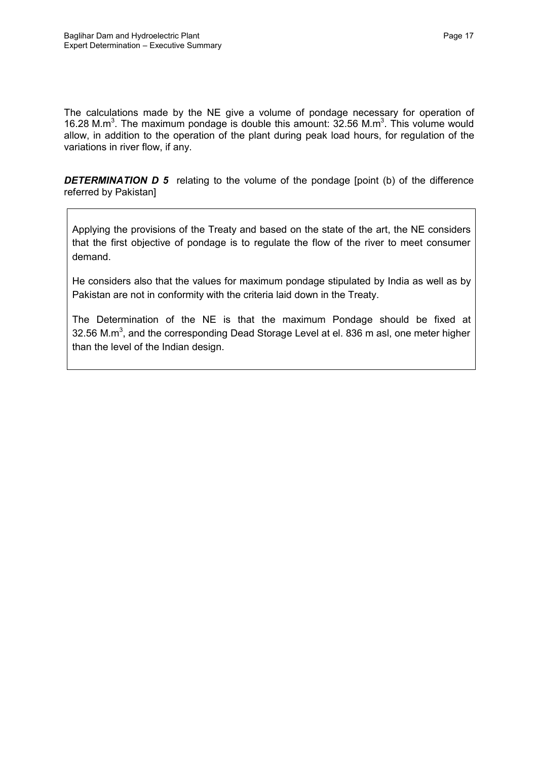The calculations made by the NE give a volume of pondage necessary for operation of 16.28 M.m<sup>3</sup>. The maximum pondage is double this amount:  $32.56$  M.m<sup>3</sup>. This volume would allow, in addition to the operation of the plant during peak load hours, for regulation of the variations in river flow, if any.

*DETERMINATION D 5* relating to the volume of the pondage [point (b) of the difference referred by Pakistan]

Applying the provisions of the Treaty and based on the state of the art, the NE considers that the first objective of pondage is to regulate the flow of the river to meet consumer demand.

He considers also that the values for maximum pondage stipulated by India as well as by Pakistan are not in conformity with the criteria laid down in the Treaty.

The Determination of the NE is that the maximum Pondage should be fixed at 32.56 M.m<sup>3</sup>, and the corresponding Dead Storage Level at el. 836 m asl, one meter higher than the level of the Indian design.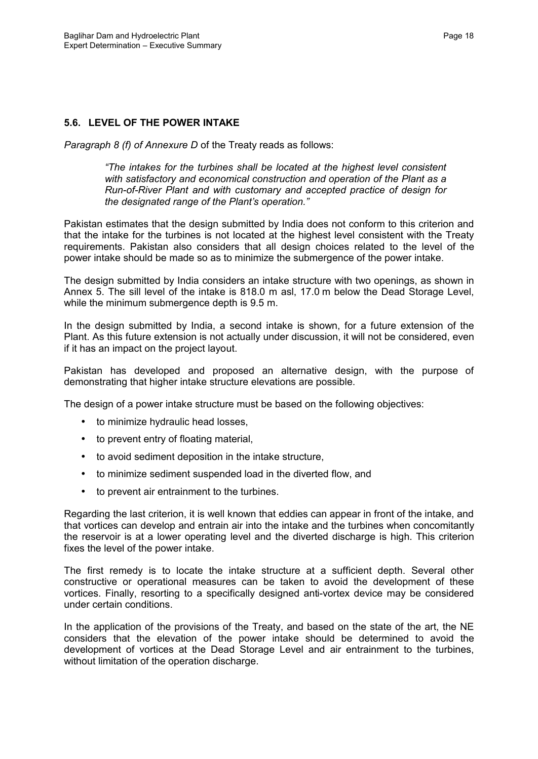#### **5.6. LEVEL OF THE POWER INTAKE**

*Paragraph 8 (f) of Annexure D* of the Treaty reads as follows:

*"The intakes for the turbines shall be located at the highest level consistent with satisfactory and economical construction and operation of the Plant as a Run-of-River Plant and with customary and accepted practice of design for the designated range of the Plant's operation."*

Pakistan estimates that the design submitted by India does not conform to this criterion and that the intake for the turbines is not located at the highest level consistent with the Treaty requirements. Pakistan also considers that all design choices related to the level of the power intake should be made so as to minimize the submergence of the power intake.

The design submitted by India considers an intake structure with two openings, as shown in Annex 5. The sill level of the intake is 818.0 m asl, 17.0 m below the Dead Storage Level, while the minimum submergence depth is 9.5 m.

In the design submitted by India, a second intake is shown, for a future extension of the Plant. As this future extension is not actually under discussion, it will not be considered, even if it has an impact on the project layout.

Pakistan has developed and proposed an alternative design, with the purpose of demonstrating that higher intake structure elevations are possible.

The design of a power intake structure must be based on the following objectives:

- to minimize hydraulic head losses,
- to prevent entry of floating material,
- to avoid sediment deposition in the intake structure,
- to minimize sediment suspended load in the diverted flow, and
- to prevent air entrainment to the turbines.

Regarding the last criterion, it is well known that eddies can appear in front of the intake, and that vortices can develop and entrain air into the intake and the turbines when concomitantly the reservoir is at a lower operating level and the diverted discharge is high. This criterion fixes the level of the power intake.

The first remedy is to locate the intake structure at a sufficient depth. Several other constructive or operational measures can be taken to avoid the development of these vortices. Finally, resorting to a specifically designed anti-vortex device may be considered under certain conditions.

In the application of the provisions of the Treaty, and based on the state of the art, the NE considers that the elevation of the power intake should be determined to avoid the development of vortices at the Dead Storage Level and air entrainment to the turbines, without limitation of the operation discharge.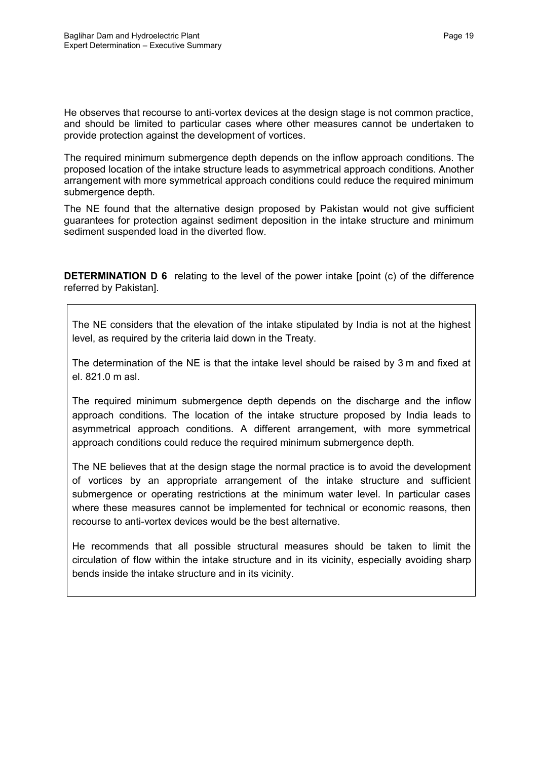He observes that recourse to anti-vortex devices at the design stage is not common practice, and should be limited to particular cases where other measures cannot be undertaken to provide protection against the development of vortices.

The required minimum submergence depth depends on the inflow approach conditions. The proposed location of the intake structure leads to asymmetrical approach conditions. Another arrangement with more symmetrical approach conditions could reduce the required minimum submergence depth.

The NE found that the alternative design proposed by Pakistan would not give sufficient guarantees for protection against sediment deposition in the intake structure and minimum sediment suspended load in the diverted flow.

**DETERMINATION D 6** relating to the level of the power intake [point (c) of the difference referred by Pakistan].

The NE considers that the elevation of the intake stipulated by India is not at the highest level, as required by the criteria laid down in the Treaty.

The determination of the NE is that the intake level should be raised by 3 m and fixed at el. 821.0 m asl.

The required minimum submergence depth depends on the discharge and the inflow approach conditions. The location of the intake structure proposed by India leads to asymmetrical approach conditions. A different arrangement, with more symmetrical approach conditions could reduce the required minimum submergence depth.

The NE believes that at the design stage the normal practice is to avoid the development of vortices by an appropriate arrangement of the intake structure and sufficient submergence or operating restrictions at the minimum water level. In particular cases where these measures cannot be implemented for technical or economic reasons, then recourse to anti-vortex devices would be the best alternative.

He recommends that all possible structural measures should be taken to limit the circulation of flow within the intake structure and in its vicinity, especially avoiding sharp bends inside the intake structure and in its vicinity.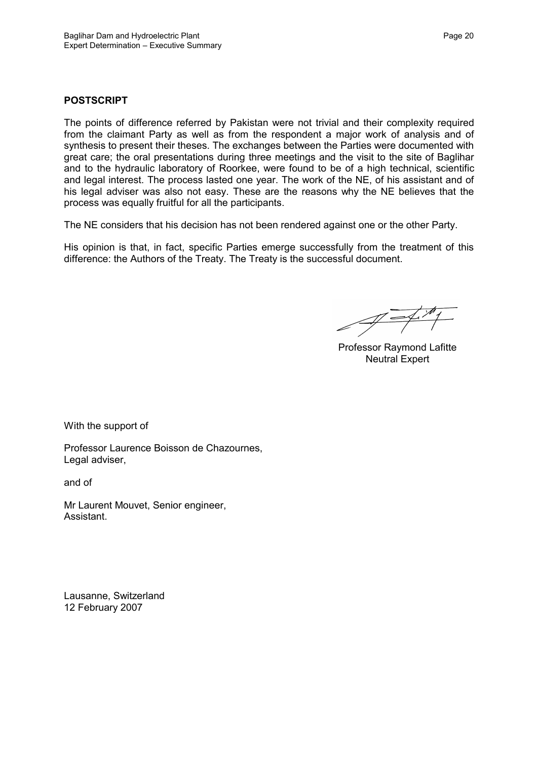### **POSTSCRIPT**

The points of difference referred by Pakistan were not trivial and their complexity required from the claimant Party as well as from the respondent a major work of analysis and of synthesis to present their theses. The exchanges between the Parties were documented with great care; the oral presentations during three meetings and the visit to the site of Baglihar and to the hydraulic laboratory of Roorkee, were found to be of a high technical, scientific and legal interest. The process lasted one year. The work of the NE, of his assistant and of his legal adviser was also not easy. These are the reasons why the NE believes that the process was equally fruitful for all the participants.

The NE considers that his decision has not been rendered against one or the other Party.

His opinion is that, in fact, specific Parties emerge successfully from the treatment of this difference: the Authors of the Treaty. The Treaty is the successful document.

Professor Raymond Lafitte Neutral Expert

With the support of

Professor Laurence Boisson de Chazournes, Legal adviser,

and of

Mr Laurent Mouvet, Senior engineer, Assistant.

Lausanne, Switzerland 12 February 2007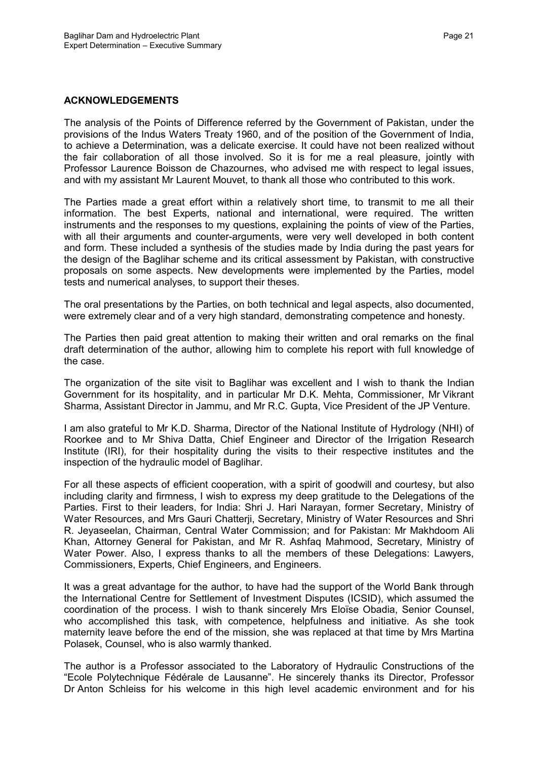#### **ACKNOWLEDGEMENTS**

The analysis of the Points of Difference referred by the Government of Pakistan, under the provisions of the Indus Waters Treaty 1960, and of the position of the Government of India, to achieve a Determination, was a delicate exercise. It could have not been realized without the fair collaboration of all those involved. So it is for me a real pleasure, jointly with Professor Laurence Boisson de Chazournes, who advised me with respect to legal issues, and with my assistant Mr Laurent Mouvet, to thank all those who contributed to this work.

The Parties made a great effort within a relatively short time, to transmit to me all their information. The best Experts, national and international, were required. The written instruments and the responses to my questions, explaining the points of view of the Parties, with all their arguments and counter-arguments, were very well developed in both content and form. These included a synthesis of the studies made by India during the past years for the design of the Baglihar scheme and its critical assessment by Pakistan, with constructive proposals on some aspects. New developments were implemented by the Parties, model tests and numerical analyses, to support their theses.

The oral presentations by the Parties, on both technical and legal aspects, also documented, were extremely clear and of a very high standard, demonstrating competence and honesty.

The Parties then paid great attention to making their written and oral remarks on the final draft determination of the author, allowing him to complete his report with full knowledge of the case.

The organization of the site visit to Baglihar was excellent and I wish to thank the Indian Government for its hospitality, and in particular Mr D.K. Mehta, Commissioner, Mr Vikrant Sharma, Assistant Director in Jammu, and Mr R.C. Gupta, Vice President of the JP Venture.

I am also grateful to Mr K.D. Sharma, Director of the National Institute of Hydrology (NHI) of Roorkee and to Mr Shiva Datta, Chief Engineer and Director of the Irrigation Research Institute (IRI), for their hospitality during the visits to their respective institutes and the inspection of the hydraulic model of Baglihar.

For all these aspects of efficient cooperation, with a spirit of goodwill and courtesy, but also including clarity and firmness, I wish to express my deep gratitude to the Delegations of the Parties. First to their leaders, for India: Shri J. Hari Narayan, former Secretary, Ministry of Water Resources, and Mrs Gauri Chatterji, Secretary, Ministry of Water Resources and Shri R. Jeyaseelan, Chairman, Central Water Commission; and for Pakistan: Mr Makhdoom Ali Khan, Attorney General for Pakistan, and Mr R. Ashfaq Mahmood, Secretary, Ministry of Water Power. Also, I express thanks to all the members of these Delegations: Lawyers, Commissioners, Experts, Chief Engineers, and Engineers.

It was a great advantage for the author, to have had the support of the World Bank through the International Centre for Settlement of Investment Disputes (ICSID), which assumed the coordination of the process. I wish to thank sincerely Mrs Eloïse Obadia, Senior Counsel, who accomplished this task, with competence, helpfulness and initiative. As she took maternity leave before the end of the mission, she was replaced at that time by Mrs Martina Polasek, Counsel, who is also warmly thanked.

The author is a Professor associated to the Laboratory of Hydraulic Constructions of the "Ecole Polytechnique Fédérale de Lausanne". He sincerely thanks its Director, Professor Dr Anton Schleiss for his welcome in this high level academic environment and for his